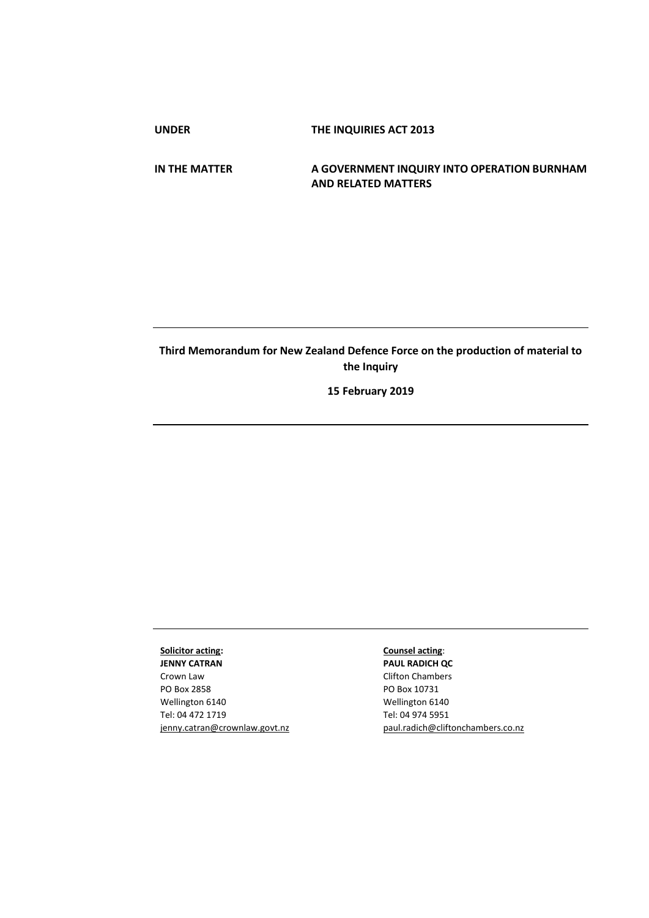**UNDER THE INQUIRIES ACT 2013**

**IN THE MATTER A GOVERNMENT INQUIRY INTO OPERATION BURNHAM AND RELATED MATTERS**

## **Third Memorandum for New Zealand Defence Force on the production of material to the Inquiry**

**15 February 2019**

## **Solicitor acting:**

**JENNY CATRAN** Crown Law PO Box 2858 Wellington 6140 Tel: 04 472 1719 jenny.catran@crownlaw.govt.nz

## **Counsel acting**:

**PAUL RADICH QC** Clifton Chambers PO Box 10731 Wellington 6140 Tel: 04 974 5951 [paul.radich@cliftonchambers.co.nz](mailto:paul.radich@cliftonchambers.co.nz)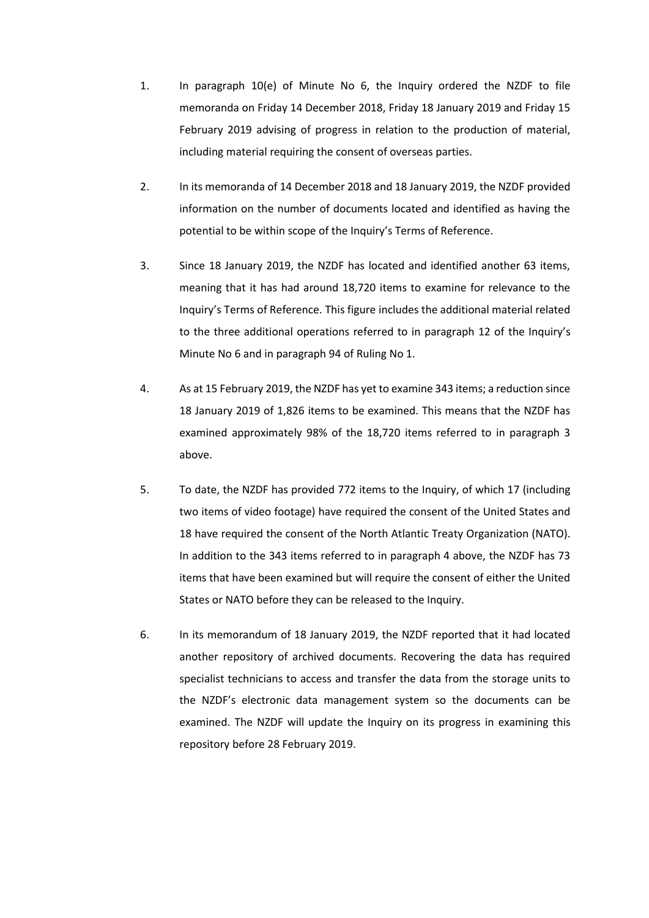- 1. In paragraph 10(e) of Minute No 6, the Inquiry ordered the NZDF to file memoranda on Friday 14 December 2018, Friday 18 January 2019 and Friday 15 February 2019 advising of progress in relation to the production of material, including material requiring the consent of overseas parties.
- 2. In its memoranda of 14 December 2018 and 18 January 2019, the NZDF provided information on the number of documents located and identified as having the potential to be within scope of the Inquiry's Terms of Reference.
- 3. Since 18 January 2019, the NZDF has located and identified another 63 items, meaning that it has had around 18,720 items to examine for relevance to the Inquiry's Terms of Reference. This figure includes the additional material related to the three additional operations referred to in paragraph 12 of the Inquiry's Minute No 6 and in paragraph 94 of Ruling No 1.
- 4. As at 15 February 2019, the NZDF has yet to examine 343 items; a reduction since 18 January 2019 of 1,826 items to be examined. This means that the NZDF has examined approximately 98% of the 18,720 items referred to in paragraph 3 above.
- 5. To date, the NZDF has provided 772 items to the Inquiry, of which 17 (including two items of video footage) have required the consent of the United States and 18 have required the consent of the North Atlantic Treaty Organization (NATO). In addition to the 343 items referred to in paragraph 4 above, the NZDF has 73 items that have been examined but will require the consent of either the United States or NATO before they can be released to the Inquiry.
- 6. In its memorandum of 18 January 2019, the NZDF reported that it had located another repository of archived documents. Recovering the data has required specialist technicians to access and transfer the data from the storage units to the NZDF's electronic data management system so the documents can be examined. The NZDF will update the Inquiry on its progress in examining this repository before 28 February 2019.